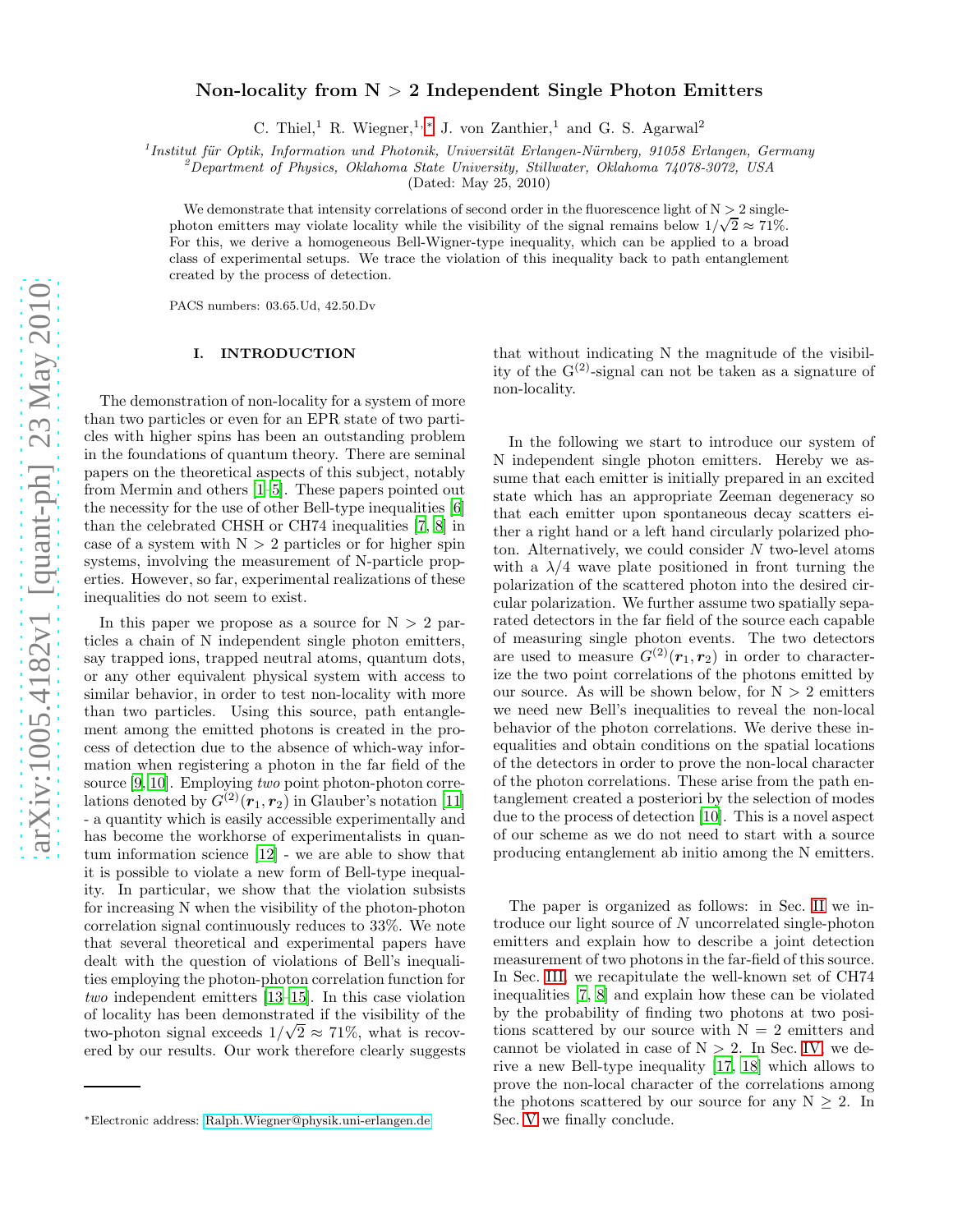# Non-locality from  $N > 2$  Independent Single Photon Emitters

C. Thiel,<sup>1</sup> R. Wiegner,<sup>1,\*</sup> J. von Zanthier,<sup>1</sup> and G. S. Agarwal<sup>2</sup>

 $1$ Institut für Optik, Information und Photonik, Universität Erlangen-Nürnberg, 91058 Erlangen, Germany

 $^{2}$ Department of Physics, Oklahoma State University, Stillwater, Oklahoma  $74078$ -3072, USA

(Dated: May 25, 2010)

We demonstrate that intensity correlations of second order in the fluorescence light of  $N > 2$  singlephoton emitters may violate locality while the visibility of the signal remains below  $1/\sqrt{2} \approx 71\%$ . For this, we derive a homogeneous Bell-Wigner-type inequality, which can be applied to a broad class of experimental setups. We trace the violation of this inequality back to path entanglement created by the process of detection.

PACS numbers: 03.65.Ud, 42.50.Dv

### I. INTRODUCTION

The demonstration of non-locality for a system of more than two particles or even for an EPR state of two particles with higher spins has been an outstanding problem in the foundations of quantum theory. There are seminal papers on the theoretical aspects of this subject, notably from Mermin and others [\[1](#page-8-0)[–5\]](#page-8-1). These papers pointed out the necessity for the use of other Bell-type inequalities [\[6](#page-8-2)] than the celebrated CHSH or CH74 inequalities [\[7,](#page-8-3) [8\]](#page-8-4) in case of a system with  $N > 2$  particles or for higher spin systems, involving the measurement of N-particle properties. However, so far, experimental realizations of these inequalities do not seem to exist.

In this paper we propose as a source for  $N > 2$  particles a chain of N independent single photon emitters, say trapped ions, trapped neutral atoms, quantum dots, or any other equivalent physical system with access to similar behavior, in order to test non-locality with more than two particles. Using this source, path entanglement among the emitted photons is created in the process of detection due to the absence of which-way information when registering a photon in the far field of the source [\[9](#page-8-5), [10](#page-8-6)]. Employing two point photon-photon correlations denoted by  $G^{(2)}(\mathbf{r}_1, \mathbf{r}_2)$  in Glauber's notation [\[11](#page-8-7)] - a quantity which is easily accessible experimentally and has become the workhorse of experimentalists in quantum information science [\[12](#page-8-8)] - we are able to show that it is possible to violate a new form of Bell-type inequality. In particular, we show that the violation subsists for increasing N when the visibility of the photon-photon correlation signal continuously reduces to 33%. We note that several theoretical and experimental papers have dealt with the question of violations of Bell's inequalities employing the photon-photon correlation function for two independent emitters [\[13](#page-8-9)[–15\]](#page-8-10). In this case violation of locality has been demonstrated if the visibility of the two-photon signal exceeds  $1/\sqrt{2} \approx 71\%$ , what is recovered by our results. Our work therefore clearly suggests

that without indicating N the magnitude of the visibility of the  $G^{(2)}$ -signal can not be taken as a signature of non-locality.

In the following we start to introduce our system of N independent single photon emitters. Hereby we assume that each emitter is initially prepared in an excited state which has an appropriate Zeeman degeneracy so that each emitter upon spontaneous decay scatters either a right hand or a left hand circularly polarized photon. Alternatively, we could consider N two-level atoms with a  $\lambda/4$  wave plate positioned in front turning the polarization of the scattered photon into the desired circular polarization. We further assume two spatially separated detectors in the far field of the source each capable of measuring single photon events. The two detectors are used to measure  $G^{(2)}(\mathbf{r}_1, \mathbf{r}_2)$  in order to characterize the two point correlations of the photons emitted by our source. As will be shown below, for  $N > 2$  emitters we need new Bell's inequalities to reveal the non-local behavior of the photon correlations. We derive these inequalities and obtain conditions on the spatial locations of the detectors in order to prove the non-local character of the photon correlations. These arise from the path entanglement created a posteriori by the selection of modes due to the process of detection [\[10\]](#page-8-6). This is a novel aspect of our scheme as we do not need to start with a source producing entanglement ab initio among the N emitters.

The paper is organized as follows: in Sec. [II](#page-1-0) we introduce our light source of N uncorrelated single-photon emitters and explain how to describe a joint detection measurement of two photons in the far-field of this source. In Sec. [III,](#page-3-0) we recapitulate the well-known set of CH74 inequalities [\[7](#page-8-3), [8\]](#page-8-4) and explain how these can be violated by the probability of finding two photons at two positions scattered by our source with  $N = 2$  emitters and cannot be violated in case of  $N > 2$ . In Sec. [IV,](#page-6-0) we derive a new Bell-type inequality [\[17](#page-8-11), [18\]](#page-8-12) which allows to prove the non-local character of the correlations among the photons scattered by our source for any  $N \geq 2$ . In Sec. [V](#page-7-0) we finally conclude.

<span id="page-0-0"></span><sup>∗</sup>Electronic address: [Ralph.Wiegner@physik.uni-erlangen.de](mailto:Ralph.Wiegner@physik.uni-erlangen.de)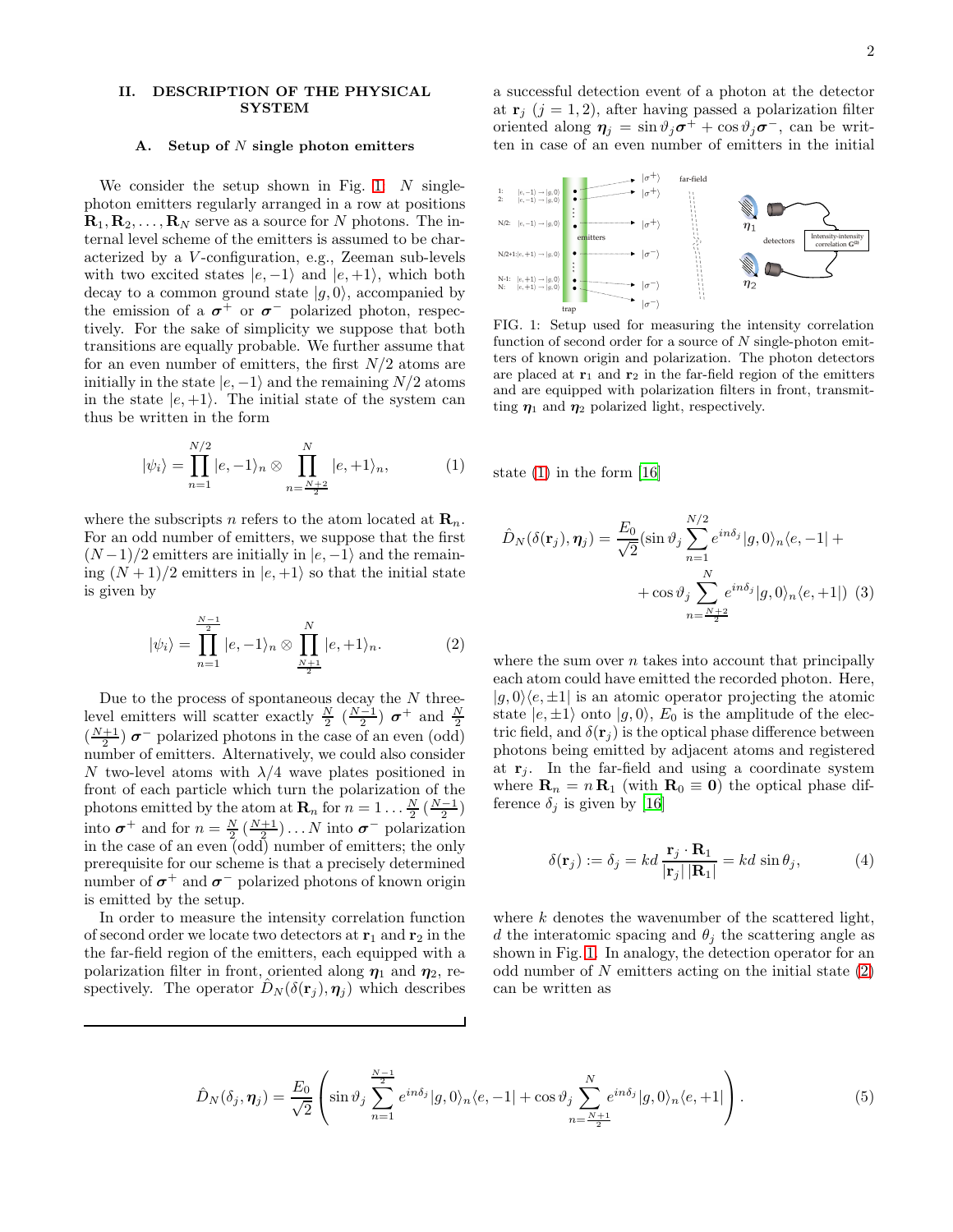# <span id="page-1-0"></span>II. DESCRIPTION OF THE PHYSICAL SYSTEM

## A. Setup of  $N$  single photon emitters

We consider the setup shown in Fig. [1:](#page-1-1)  $N$  singlephoton emitters regularly arranged in a row at positions  $\mathbf{R}_1, \mathbf{R}_2, \ldots, \mathbf{R}_N$  serve as a source for N photons. The internal level scheme of the emitters is assumed to be characterized by a V -configuration, e.g., Zeeman sub-levels with two excited states  $|e, -1\rangle$  and  $|e, +1\rangle$ , which both decay to a common ground state  $|g, 0\rangle$ , accompanied by the emission of a  $\sigma^+$  or  $\sigma^-$  polarized photon, respectively. For the sake of simplicity we suppose that both transitions are equally probable. We further assume that for an even number of emitters, the first  $N/2$  atoms are initially in the state  $|e, -1\rangle$  and the remaining  $N/2$  atoms in the state  $|e, +1\rangle$ . The initial state of the system can thus be written in the form

<span id="page-1-2"></span>
$$
|\psi_i\rangle = \prod_{n=1}^{N/2} |e, -1\rangle_n \otimes \prod_{n=\frac{N+2}{2}}^N |e, +1\rangle_n, \tag{1}
$$

where the subscripts n refers to the atom located at  $\mathbf{R}_n$ . For an odd number of emitters, we suppose that the first  $(N-1)/2$  emitters are initially in  $|e,-1\rangle$  and the remaining  $(N + 1)/2$  emitters in  $|e, +1\rangle$  so that the initial state is given by

<span id="page-1-3"></span>
$$
|\psi_i\rangle = \prod_{n=1}^{\frac{N-1}{2}} |e, -1\rangle_n \otimes \prod_{\frac{N+1}{2}}^N |e, +1\rangle_n.
$$
 (2)

Due to the process of spontaneous decay the  $N$  threelevel emitters will scatter exactly  $\frac{N}{2}$   $(\frac{N-1}{2})$   $\sigma^+$  and  $\frac{N}{2}$  $\left(\frac{N+1}{2}\right)\boldsymbol{\sigma}$  polarized photons in the case of an even (odd) number of emitters. Alternatively, we could also consider N two-level atoms with  $\lambda/4$  wave plates positioned in front of each particle which turn the polarization of the photons emitted by the atom at  $\mathbf{R}_n$  for  $n = 1 \dots \frac{N}{2} \left( \frac{N-1}{2} \right)$ into  $\sigma^+$  and for  $n = \frac{N}{2} \left( \frac{N+1}{2} \right) \ldots N$  into  $\sigma^-$  polarization in the case of an even (odd) number of emitters; the only prerequisite for our scheme is that a precisely determined number of  $\sigma^+$  and  $\sigma^-$  polarized photons of known origin is emitted by the setup.

In order to measure the intensity correlation function of second order we locate two detectors at  $r_1$  and  $r_2$  in the the far-field region of the emitters, each equipped with a polarization filter in front, oriented along  $\eta_1$  and  $\eta_2$ , respectively. The operator  $D_N(\delta(\mathbf{r}_j), \boldsymbol{\eta}_j)$  which describes

a successful detection event of a photon at the detector at  $\mathbf{r}_i$  (j = 1, 2), after having passed a polarization filter oriented along  $\eta_j = \sin \vartheta_j \sigma^+ + \cos \vartheta_j \sigma^-$ , can be written in case of an even number of emitters in the initial



<span id="page-1-1"></span>FIG. 1: Setup used for measuring the intensity correlation function of second order for a source of  $N$  single-photon emitters of known origin and polarization. The photon detectors are placed at  $r_1$  and  $r_2$  in the far-field region of the emitters and are equipped with polarization filters in front, transmitting  $\eta_1$  and  $\eta_2$  polarized light, respectively.

state [\(1\)](#page-1-2) in the form [\[16\]](#page-8-13)

$$
\hat{D}_N(\delta(\mathbf{r}_j), \boldsymbol{\eta}_j) = \frac{E_0}{\sqrt{2}} (\sin \vartheta_j \sum_{n=1}^{N/2} e^{in\delta_j} |g, 0\rangle_n \langle e, -1| + \cos \vartheta_j \sum_{n=\frac{N}{2}}^{N} e^{in\delta_j} |g, 0\rangle_n \langle e, +1|) \tag{3}
$$

where the sum over  $n$  takes into account that principally each atom could have emitted the recorded photon. Here,  $|g, 0\rangle\langle e, \pm 1|$  is an atomic operator projecting the atomic state  $|e, \pm 1\rangle$  onto  $|g, 0\rangle$ ,  $E_0$  is the amplitude of the electric field, and  $\delta(\mathbf{r}_j)$  is the optical phase difference between photons being emitted by adjacent atoms and registered at  $\mathbf{r}_i$ . In the far-field and using a coordinate system where  $\mathbf{R}_n = n \mathbf{R}_1$  (with  $\mathbf{R}_0 \equiv \mathbf{0}$ ) the optical phase difference  $\delta_i$  is given by [\[16](#page-8-13)]

<span id="page-1-5"></span>
$$
\delta(\mathbf{r}_j) := \delta_j = kd \frac{\mathbf{r}_j \cdot \mathbf{R}_1}{|\mathbf{r}_j| |\mathbf{R}_1|} = kd \sin \theta_j,
$$
 (4)

where  $k$  denotes the wavenumber of the scattered light, d the interatomic spacing and  $\theta_i$  the scattering angle as shown in Fig. [1.](#page-1-1) In analogy, the detection operator for an odd number of  $N$  emitters acting on the initial state  $(2)$ can be written as

<span id="page-1-4"></span>
$$
\hat{D}_N(\delta_j, \eta_j) = \frac{E_0}{\sqrt{2}} \left( \sin \vartheta_j \sum_{n=1}^{\frac{N-1}{2}} e^{in\delta_j} |g, 0\rangle_n \langle e, -1| + \cos \vartheta_j \sum_{n=\frac{N+1}{2}}^N e^{in\delta_j} |g, 0\rangle_n \langle e, +1| \right).
$$
\n(5)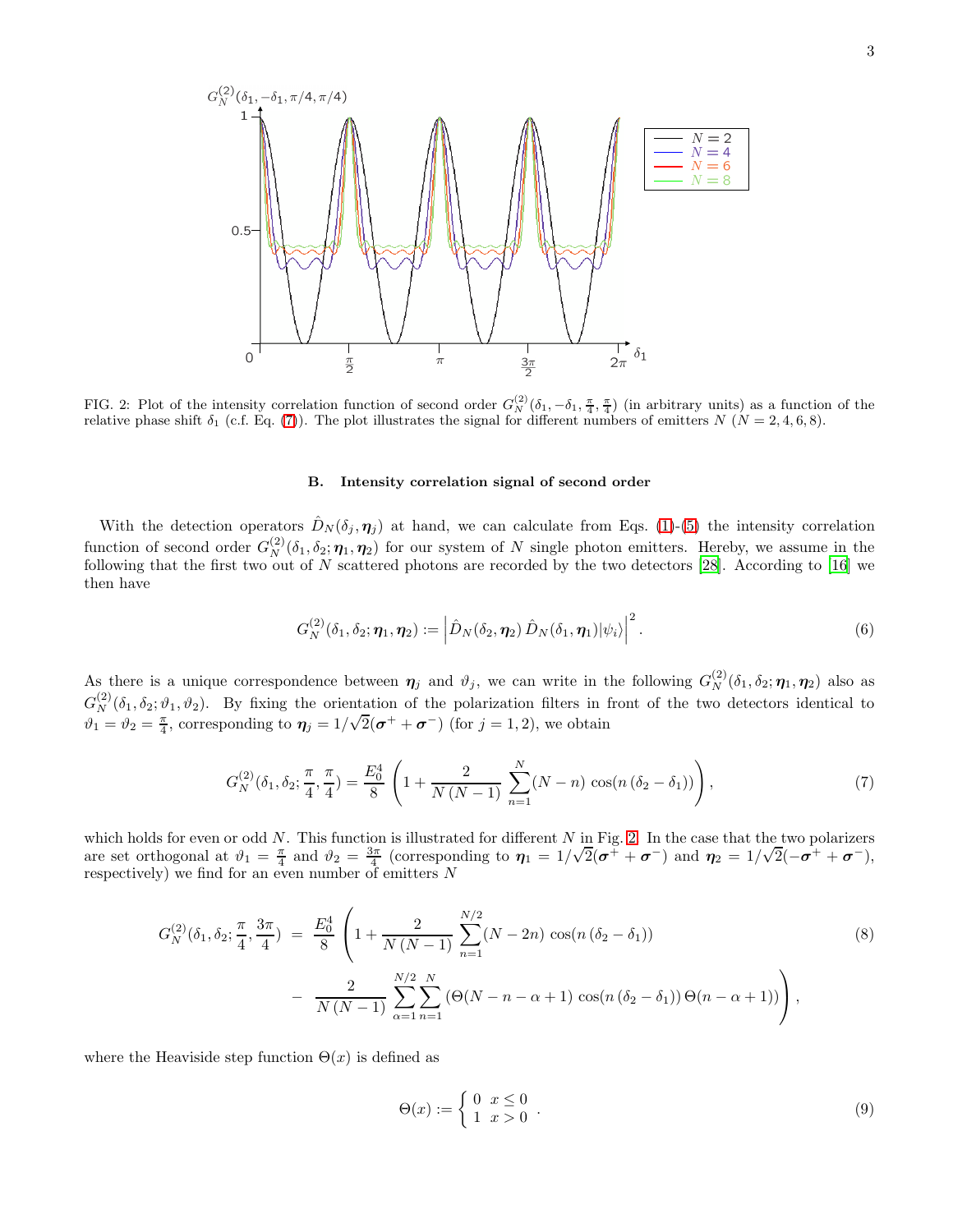

<span id="page-2-1"></span>FIG. 2: Plot of the intensity correlation function of second order  $G_N^{(2)}(\delta_1, -\delta_1, \frac{\pi}{4}, \frac{\pi}{4})$  (in arbitrary units) as a function of the relative phase shift  $\delta_1$  (c.f. Eq. [\(7\)](#page-2-0)). The plot illustrates the signal for different numbers of emitters  $N$  ( $N = 2, 4, 6, 8$ ).

### <span id="page-2-3"></span>B. Intensity correlation signal of second order

With the detection operators  $D_N(\delta_j, \eta_j)$  at hand, we can calculate from Eqs. [\(1\)](#page-1-2)-[\(5\)](#page-1-4) the intensity correlation function of second order  $G_N^{(2)}(\delta_1, \delta_2; \eta_1, \eta_2)$  for our system of N single photon emitters. Hereby, we assume in the following that the first two out of N scattered photons are recorded by the two detectors [\[28](#page-8-14)]. According to [\[16\]](#page-8-13) we then have

$$
G_N^{(2)}(\delta_1, \delta_2; \boldsymbol{\eta}_1, \boldsymbol{\eta}_2) := \left| \hat{D}_N(\delta_2, \boldsymbol{\eta}_2) \, \hat{D}_N(\delta_1, \boldsymbol{\eta}_1) |\psi_i \rangle \right|^2. \tag{6}
$$

As there is a unique correspondence between  $\eta_j$  and  $\vartheta_j$ , we can write in the following  $G_N^{(2)}(\delta_1,\delta_2;\eta_1,\eta_2)$  also as  $G_N^{(2)}(\delta_1,\delta_2;\vartheta_1,\vartheta_2)$ . By fixing the orientation of the polarization filters in front of the two detectors identical to  $\vartheta_1 = \vartheta_2 = \frac{\pi}{4}$ , corresponding to  $\eta_j = 1/\sqrt{2}(\sigma^+ + \sigma^-)$  (for  $j = 1, 2$ ), we obtain

<span id="page-2-0"></span>
$$
G_N^{(2)}(\delta_1, \delta_2; \frac{\pi}{4}, \frac{\pi}{4}) = \frac{E_0^4}{8} \left( 1 + \frac{2}{N(N-1)} \sum_{n=1}^N (N-n) \cos(n (\delta_2 - \delta_1)) \right),\tag{7}
$$

which holds for even or odd  $N$ . This function is illustrated for different  $N$  in Fig. [2.](#page-2-1) In the case that the two polarizers are set orthogonal at  $\vartheta_1 = \frac{\pi}{4}$  and  $\vartheta_2 = \frac{3\pi}{4}$  (corresponding to  $\eta_1 = 1/\sqrt{2}(\sigma^+ + \sigma^-)$  and  $\eta_2 = 1/\sqrt{2}(-\sigma^+ + \sigma^-)$ , respectively) we find for an even number of emitters N

<span id="page-2-2"></span>
$$
G_N^{(2)}(\delta_1, \delta_2; \frac{\pi}{4}, \frac{3\pi}{4}) = \frac{E_0^4}{8} \left( 1 + \frac{2}{N(N-1)} \sum_{n=1}^{N/2} (N-2n) \cos(n(\delta_2 - \delta_1)) - \frac{2}{N(N-1)} \sum_{\alpha=1}^{N/2} \sum_{n=1}^N (\Theta(N - n - \alpha + 1) \cos(n(\delta_2 - \delta_1)) \Theta(n - \alpha + 1)) \right),
$$
\n(8)

where the Heaviside step function  $\Theta(x)$  is defined as

$$
\Theta(x) := \begin{cases} 0 & x \le 0 \\ 1 & x > 0 \end{cases} . \tag{9}
$$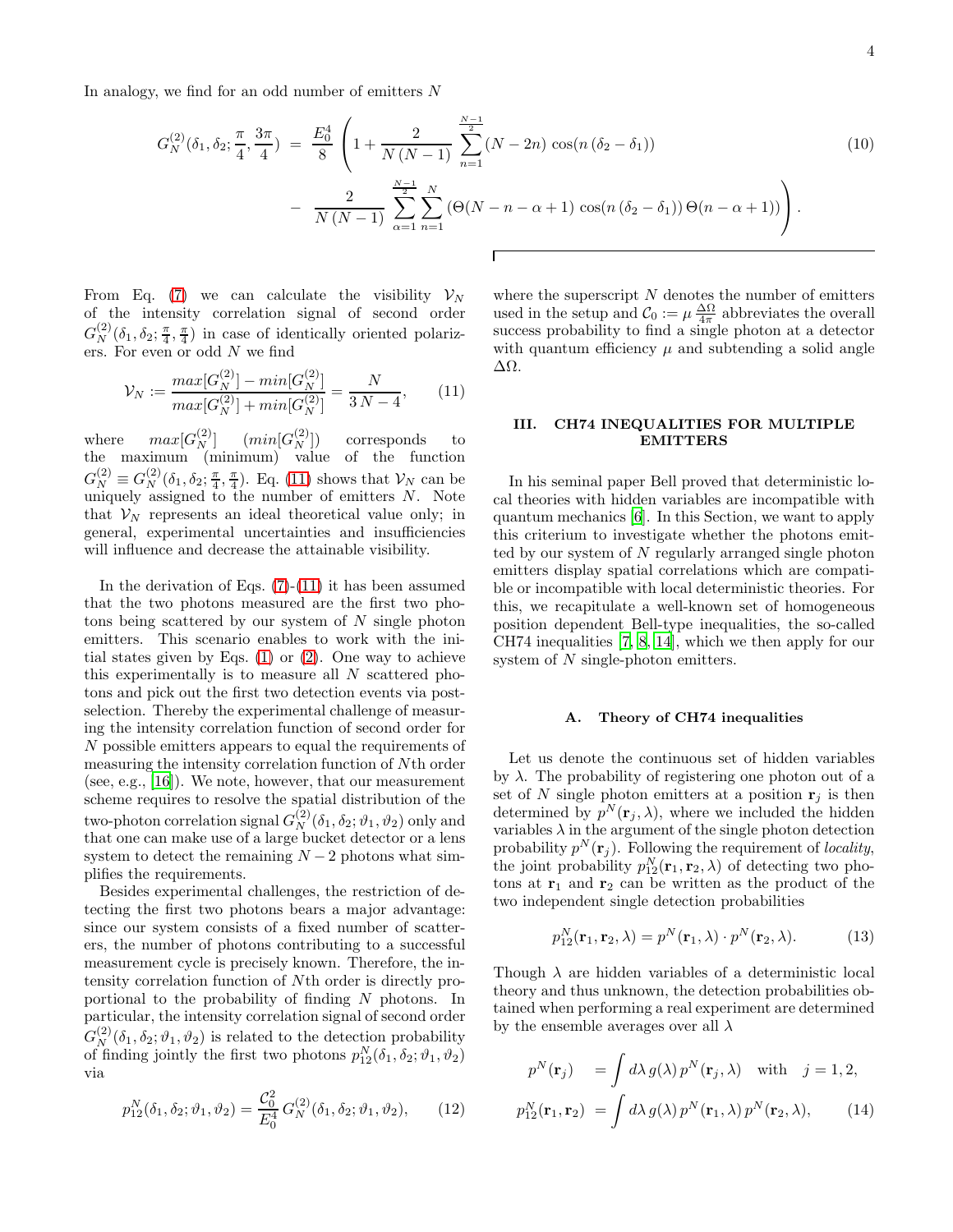In analogy, we find for an odd number of emitters N

<span id="page-3-4"></span>
$$
G_N^{(2)}(\delta_1, \delta_2; \frac{\pi}{4}, \frac{3\pi}{4}) = \frac{E_0^4}{8} \left( 1 + \frac{2}{N(N-1)} \sum_{n=1}^{\frac{N-1}{2}} (N-2n) \cos(n(\delta_2 - \delta_1)) - \frac{2}{N(N-1)} \sum_{\alpha=1}^{\frac{N-1}{2}} \sum_{n=1}^N (\Theta(N - n - \alpha + 1) \cos(n(\delta_2 - \delta_1)) \Theta(n - \alpha + 1)) \right).
$$
\n(10)

From Eq. [\(7\)](#page-2-0) we can calculate the visibility  $\mathcal{V}_N$ of the intensity correlation signal of second order  $G_N^{(2)}(\delta_1, \delta_2; \frac{\pi}{4}, \frac{\pi}{4})$  in case of identically oriented polarizers. For even or odd N we find

<span id="page-3-1"></span>
$$
\mathcal{V}_N := \frac{\max[G_N^{(2)}] - \min[G_N^{(2)}]}{\max[G_N^{(2)}] + \min[G_N^{(2)}]} = \frac{N}{3N - 4},\qquad(11)
$$

where  $max[G_N^{(2)}]$   $(min[G_N^{(2)}])$  corresponds to the maximum (minimum) value of the function  $G_N^{(2)} \equiv G_N^{(2)}(\delta_1, \delta_2; \frac{\pi}{4}, \frac{\pi}{4})$ . Eq. [\(11\)](#page-3-1) shows that  $\mathcal{V}_N$  can be uniquely assigned to the number of emitters  $N$ . Note that  $V_N$  represents an ideal theoretical value only; in general, experimental uncertainties and insufficiencies will influence and decrease the attainable visibility.

In the derivation of Eqs.  $(7)-(11)$  $(7)-(11)$  it has been assumed that the two photons measured are the first two photons being scattered by our system of  $N$  single photon emitters. This scenario enables to work with the initial states given by Eqs. [\(1\)](#page-1-2) or [\(2\)](#page-1-3). One way to achieve this experimentally is to measure all  $N$  scattered photons and pick out the first two detection events via postselection. Thereby the experimental challenge of measuring the intensity correlation function of second order for N possible emitters appears to equal the requirements of measuring the intensity correlation function of Nth order (see, e.g., [\[16](#page-8-13)]). We note, however, that our measurement scheme requires to resolve the spatial distribution of the two-photon correlation signal  $G_N^{(2)}(\delta_1, \delta_2; \vartheta_1, \vartheta_2)$  only and that one can make use of a large bucket detector or a lens system to detect the remaining  $N-2$  photons what simplifies the requirements.

Besides experimental challenges, the restriction of detecting the first two photons bears a major advantage: since our system consists of a fixed number of scatterers, the number of photons contributing to a successful measurement cycle is precisely known. Therefore, the intensity correlation function of Nth order is directly proportional to the probability of finding N photons. In particular, the intensity correlation signal of second order  $G_N^{(2)}(\delta_1, \delta_2; \vartheta_1, \vartheta_2)$  is related to the detection probability of finding jointly the first two photons  $p_{12}^N(\delta_1, \delta_2; \vartheta_1, \vartheta_2)$ via

<span id="page-3-3"></span>
$$
p_{12}^N(\delta_1, \delta_2; \vartheta_1, \vartheta_2) = \frac{\mathcal{C}_0^2}{E_0^4} G_N^{(2)}(\delta_1, \delta_2; \vartheta_1, \vartheta_2), \qquad (12)
$$

where the superscript  $N$  denotes the number of emitters used in the setup and  $C_0 := \mu \frac{\Delta \Omega}{4\pi}$  abbreviates the overall success probability to find a single photon at a detector with quantum efficiency  $\mu$  and subtending a solid angle ∆Ω.

# <span id="page-3-0"></span>III. CH74 INEQUALITIES FOR MULTIPLE **EMITTERS**

In his seminal paper Bell proved that deterministic local theories with hidden variables are incompatible with quantum mechanics [\[6\]](#page-8-2). In this Section, we want to apply this criterium to investigate whether the photons emitted by our system of N regularly arranged single photon emitters display spatial correlations which are compatible or incompatible with local deterministic theories. For this, we recapitulate a well-known set of homogeneous position dependent Bell-type inequalities, the so-called CH74 inequalities [\[7,](#page-8-3) [8,](#page-8-4) [14\]](#page-8-15), which we then apply for our system of N single-photon emitters.

### A. Theory of CH74 inequalities

Let us denote the continuous set of hidden variables by  $\lambda$ . The probability of registering one photon out of a set of N single photon emitters at a position  $r_j$  is then determined by  $p^N(\mathbf{r}_j, \lambda)$ , where we included the hidden variables  $\lambda$  in the argument of the single photon detection probability  $p^N(\mathbf{r}_j)$ . Following the requirement of locality, the joint probability  $p_{12}^N(\mathbf{r}_1, \mathbf{r}_2, \lambda)$  of detecting two photons at  $r_1$  and  $r_2$  can be written as the product of the two independent single detection probabilities

<span id="page-3-2"></span>
$$
p_{12}^N(\mathbf{r}_1, \mathbf{r}_2, \lambda) = p^N(\mathbf{r}_1, \lambda) \cdot p^N(\mathbf{r}_2, \lambda).
$$
 (13)

Though  $\lambda$  are hidden variables of a deterministic local theory and thus unknown, the detection probabilities obtained when performing a real experiment are determined by the ensemble averages over all  $\lambda$ 

$$
p^{N}(\mathbf{r}_{j}) = \int d\lambda g(\lambda) p^{N}(\mathbf{r}_{j}, \lambda) \text{ with } j = 1, 2,
$$
  

$$
p_{12}^{N}(\mathbf{r}_{1}, \mathbf{r}_{2}) = \int d\lambda g(\lambda) p^{N}(\mathbf{r}_{1}, \lambda) p^{N}(\mathbf{r}_{2}, \lambda), \qquad (14)
$$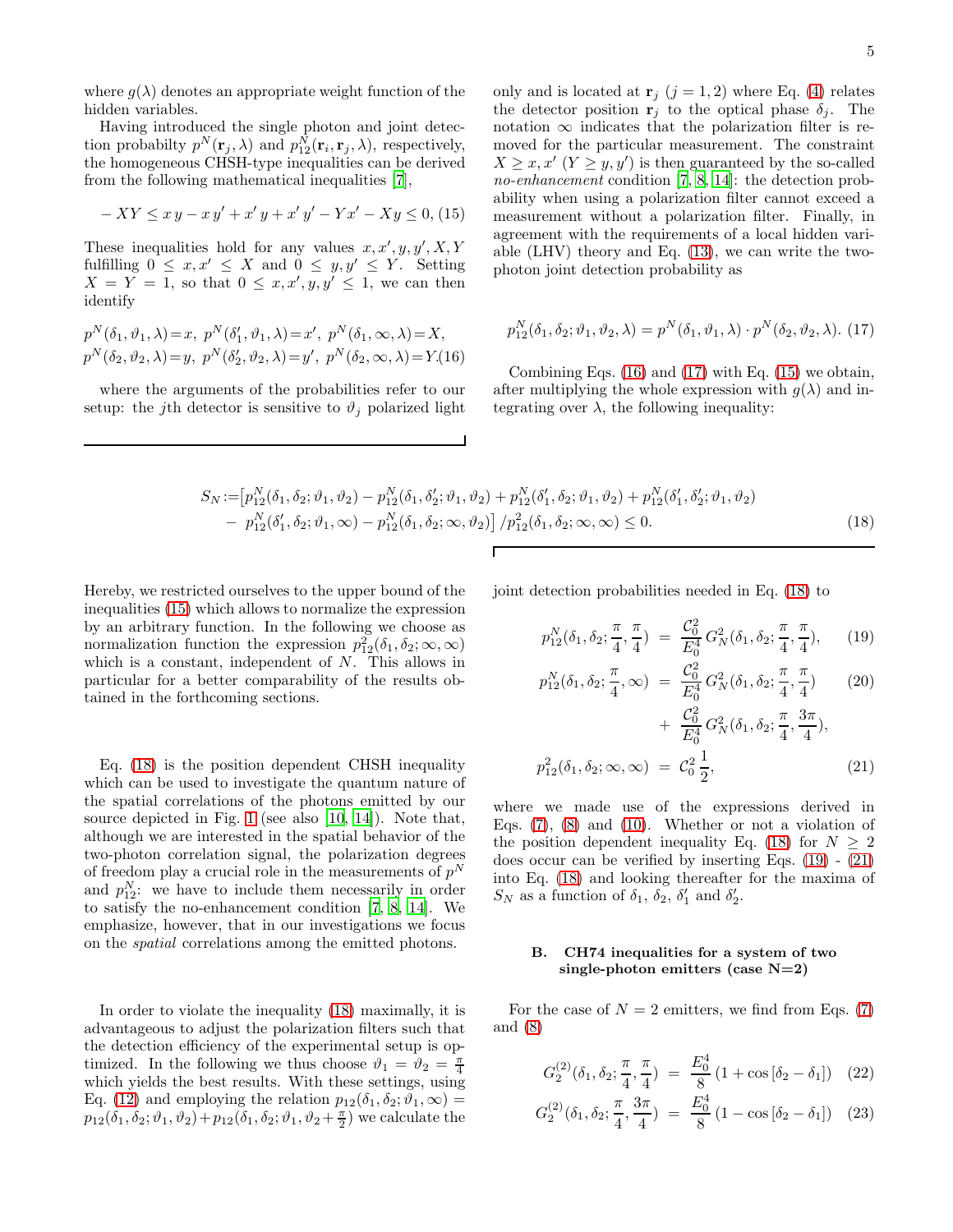where  $g(\lambda)$  denotes an appropriate weight function of the hidden variables.

Having introduced the single photon and joint detection probabilty  $p^N(\mathbf{r}_j, \lambda)$  and  $p_{12}^{\tilde{N}}(\mathbf{r}_i, \mathbf{r}_j, \lambda)$ , respectively, the homogeneous CHSH-type inequalities can be derived from the following mathematical inequalities [\[7](#page-8-3)],

<span id="page-4-2"></span>
$$
-XY \le xy - xy' + x'y + x'y' - Yx' - Xy \le 0, (15)
$$

These inequalities hold for any values  $x, x', y, y', X, Y$ fulfilling  $0 \leq x, x' \leq X$  and  $0 \leq y, y' \leq Y$ . Setting  $X = Y = 1$ , so that  $0 \leq x, x', y, y' \leq 1$ , we can then identify

<span id="page-4-0"></span>
$$
p^N(\delta_1, \vartheta_1, \lambda) = x, p^N(\delta'_1, \vartheta_1, \lambda) = x', p^N(\delta_1, \infty, \lambda) = X,
$$
  
\n $p^N(\delta_2, \vartheta_2, \lambda) = y, p^N(\delta'_2, \vartheta_2, \lambda) = y', p^N(\delta_2, \infty, \lambda) = Y.$  (16)

where the arguments of the probabilities refer to our setup: the j<sup>th</sup> detector is sensitive to  $\vartheta_j$  polarized light 5

only and is located at  $\mathbf{r}_j$  (j = 1, 2) where Eq. [\(4\)](#page-1-5) relates the detector position  $\mathbf{r}_j$  to the optical phase  $\delta_j$ . The notation  $\infty$  indicates that the polarization filter is removed for the particular measurement. The constraint  $X \geq x, x' \ (Y \geq y, y')$  is then guaranteed by the so-called no-enhancement condition [\[7](#page-8-3), [8,](#page-8-4) [14\]](#page-8-15): the detection probability when using a polarization filter cannot exceed a measurement without a polarization filter. Finally, in agreement with the requirements of a local hidden variable (LHV) theory and Eq. [\(13\)](#page-3-2), we can write the twophoton joint detection probability as

<span id="page-4-1"></span>
$$
p_{12}^N(\delta_1, \delta_2; \vartheta_1, \vartheta_2, \lambda) = p^N(\delta_1, \vartheta_1, \lambda) \cdot p^N(\delta_2, \vartheta_2, \lambda). \tag{17}
$$

Combining Eqs.  $(16)$  and  $(17)$  with Eq.  $(15)$  we obtain, after multiplying the whole expression with  $q(\lambda)$  and integrating over  $\lambda$ , the following inequality:

<span id="page-4-3"></span>
$$
S_N := [p_{12}^N(\delta_1, \delta_2; \vartheta_1, \vartheta_2) - p_{12}^N(\delta_1, \delta_2; \vartheta_1, \vartheta_2) + p_{12}^N(\delta_1', \delta_2; \vartheta_1, \vartheta_2) + p_{12}^N(\delta_1', \delta_2'; \vartheta_1, \vartheta_2) - p_{12}^N(\delta_1', \delta_2; \vartheta_1, \infty) - p_{12}^N(\delta_1, \delta_2; \infty, \vartheta_2)] / p_{12}^2(\delta_1, \delta_2; \infty, \infty) \le 0.
$$
\n(18)

Hereby, we restricted ourselves to the upper bound of the inequalities [\(15\)](#page-4-2) which allows to normalize the expression by an arbitrary function. In the following we choose as normalization function the expression  $p_{12}^2(\delta_1, \delta_2; \infty, \infty)$ which is a constant, independent of N. This allows in particular for a better comparability of the results obtained in the forthcoming sections.

Eq. [\(18\)](#page-4-3) is the position dependent CHSH inequality which can be used to investigate the quantum nature of the spatial correlations of the photons emitted by our source depicted in Fig. [1](#page-1-1) (see also [\[10](#page-8-6), [14\]](#page-8-15)). Note that, although we are interested in the spatial behavior of the two-photon correlation signal, the polarization degrees of freedom play a crucial role in the measurements of  $p^N$ and  $p_{12}^N$ : we have to include them necessarily in order to satisfy the no-enhancement condition [\[7,](#page-8-3) [8,](#page-8-4) [14\]](#page-8-15). We emphasize, however, that in our investigations we focus on the spatial correlations among the emitted photons.

In order to violate the inequality [\(18\)](#page-4-3) maximally, it is advantageous to adjust the polarization filters such that the detection efficiency of the experimental setup is optimized. In the following we thus choose  $\vartheta_1 = \vartheta_2 = \frac{\pi}{4}$ which yields the best results. With these settings, using Eq. [\(12\)](#page-3-3) and employing the relation  $p_{12}(\delta_1, \delta_2; \vartheta_1, \infty)$  =  $p_{12}(\delta_1, \delta_2; \vartheta_1, \vartheta_2) + p_{12}(\delta_1, \delta_2; \vartheta_1, \vartheta_2 + \frac{\pi}{2})$  we calculate the joint detection probabilities needed in Eq. [\(18\)](#page-4-3) to

<span id="page-4-4"></span>
$$
p_{12}^N(\delta_1, \delta_2; \frac{\pi}{4}, \frac{\pi}{4}) = \frac{\mathcal{C}_0^2}{E_0^4} G_N^2(\delta_1, \delta_2; \frac{\pi}{4}, \frac{\pi}{4}), \qquad (19)
$$

$$
p_{12}^N(\delta_1, \delta_2; \frac{\pi}{4}, \infty) = \frac{\mathcal{C}_0^2}{E_0^4} G_N^2(\delta_1, \delta_2; \frac{\pi}{4}, \frac{\pi}{4})
$$
 (20)

+ 
$$
\frac{\mathcal{C}_0^2}{E_0^4} G_N^2(\delta_1, \delta_2; \frac{\pi}{4}, \frac{3\pi}{4}),
$$
  
\n $p_{12}^2(\delta_1, \delta_2; \infty, \infty) = \mathcal{C}_0^2 \frac{1}{2},$  (21)

where we made use of the expressions derived in Eqs. [\(7\)](#page-2-0), [\(8\)](#page-2-2) and [\(10\)](#page-3-4). Whether or not a violation of the position dependent inequality Eq. [\(18\)](#page-4-3) for  $N > 2$ does occur can be verified by inserting Eqs. [\(19\)](#page-4-4) - [\(21\)](#page-4-4) into Eq. [\(18\)](#page-4-3) and looking thereafter for the maxima of  $S_N$  as a function of  $\delta_1$ ,  $\delta_2$ ,  $\delta'_1$  and  $\delta'_2$ .

# B. CH74 inequalities for a system of two single-photon emitters (case  $N=2$ )

For the case of  $N = 2$  emitters, we find from Eqs. [\(7\)](#page-2-0) and [\(8\)](#page-2-2)

<span id="page-4-5"></span>
$$
G_2^{(2)}(\delta_1, \delta_2; \frac{\pi}{4}, \frac{\pi}{4}) = \frac{E_0^4}{8} (1 + \cos[\delta_2 - \delta_1]) \quad (22)
$$

$$
G_2^{(2)}(\delta_1, \delta_2; \frac{\pi}{4}, \frac{3\pi}{4}) = \frac{E_0^4}{8} (1 - \cos[\delta_2 - \delta_1]) \quad (23)
$$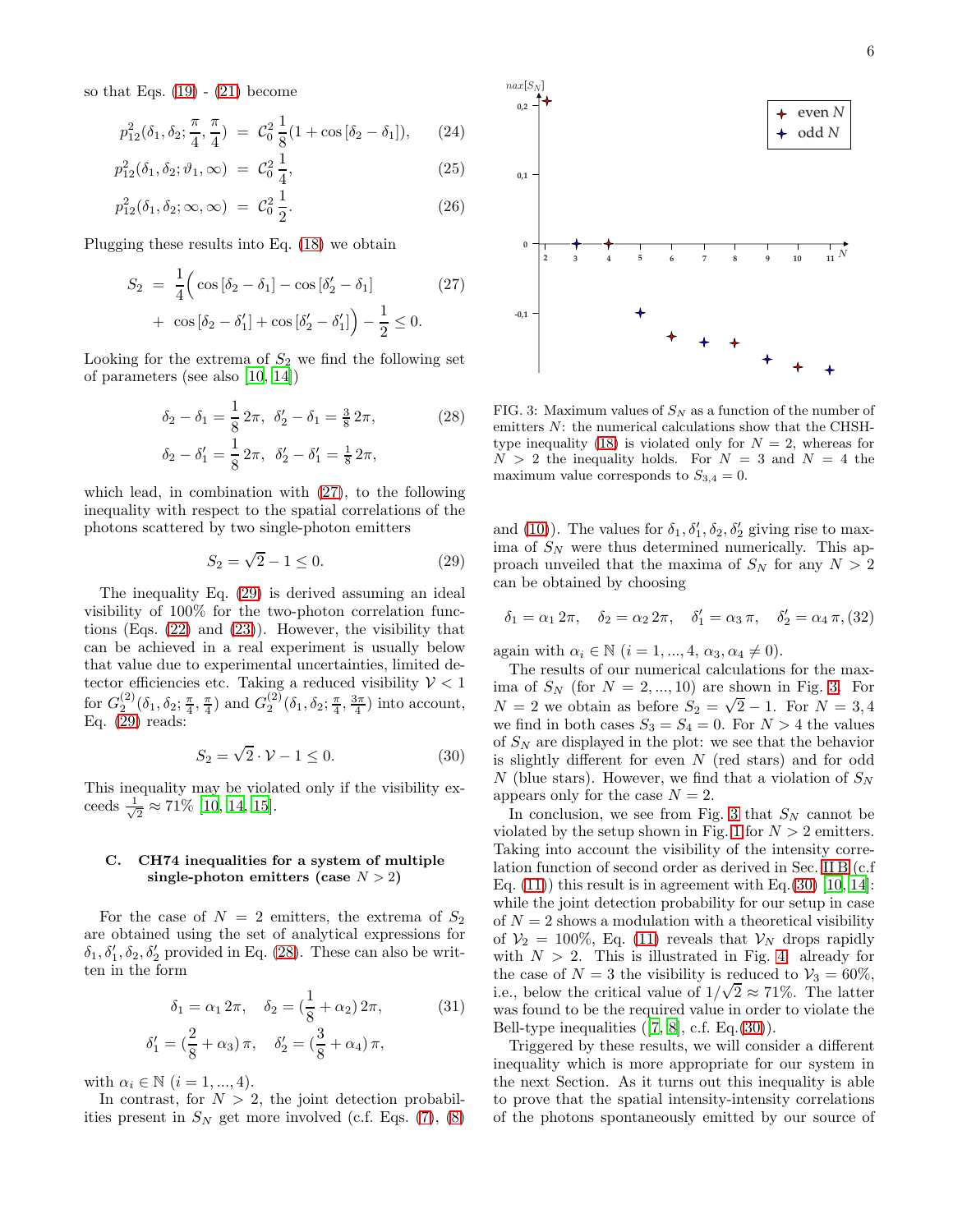$$
p_{12}^2(\delta_1, \delta_2; \frac{\pi}{4}, \frac{\pi}{4}) = C_0^2 \frac{1}{8} (1 + \cos[\delta_2 - \delta_1]), \quad (24)
$$

$$
p_{12}^2(\delta_1, \delta_2; \vartheta_1, \infty) = C_0^2 \frac{1}{4}, \tag{25}
$$

$$
p_{12}^2(\delta_1, \delta_2; \infty, \infty) = C_0^2 \frac{1}{2}.
$$
 (26)

Plugging these results into Eq. [\(18\)](#page-4-3) we obtain

<span id="page-5-0"></span>
$$
S_2 = \frac{1}{4} \Big( \cos \left[ \delta_2 - \delta_1 \right] - \cos \left[ \delta_2' - \delta_1 \right] + \cos \left[ \delta_2 - \delta_1' \right] + \cos \left[ \delta_2' - \delta_1' \right] \Big) - \frac{1}{2} \leq 0.
$$
 (27)

Looking for the extrema of  $S_2$  we find the following set of parameters (see also [\[10,](#page-8-6) [14\]](#page-8-15))

<span id="page-5-2"></span>
$$
\delta_2 - \delta_1 = \frac{1}{8} 2\pi, \ \delta_2' - \delta_1 = \frac{3}{8} 2\pi, \n\delta_2 - \delta_1' = \frac{1}{8} 2\pi, \ \delta_2' - \delta_1' = \frac{1}{8} 2\pi,
$$
\n(28)

which lead, in combination with [\(27\)](#page-5-0), to the following inequality with respect to the spatial correlations of the photons scattered by two single-photon emitters

<span id="page-5-1"></span>
$$
S_2 = \sqrt{2} - 1 \le 0. \tag{29}
$$

The inequality Eq. [\(29\)](#page-5-1) is derived assuming an ideal visibility of 100% for the two-photon correlation functions (Eqs. [\(22\)](#page-4-5) and [\(23\)](#page-4-5)). However, the visibility that can be achieved in a real experiment is usually below that value due to experimental uncertainties, limited detector efficiencies etc. Taking a reduced visibility  $\mathcal{V} < 1$ for  $G_2^{(2)}(\delta_1, \delta_2; \frac{\pi}{4}, \frac{\pi}{4})$  and  $G_2^{(2)}(\delta_1, \delta_2; \frac{\pi}{4}, \frac{3\pi}{4})$  into account, Eq. [\(29\)](#page-5-1) reads:

<span id="page-5-4"></span>
$$
S_2 = \sqrt{2} \cdot \mathcal{V} - 1 \le 0. \tag{30}
$$

This inequality may be violated only if the visibility exceeds  $\frac{1}{\sqrt{2}}$  $\frac{1}{2} \approx 71\%$  [\[10,](#page-8-6) [14,](#page-8-15) [15\]](#page-8-10).

### C. CH74 inequalities for a system of multiple single-photon emitters (case  $N > 2$ )

For the case of  $N = 2$  emitters, the extrema of  $S_2$ are obtained using the set of analytical expressions for  $\delta_1, \delta_1', \delta_2, \delta_2'$  provided in Eq. [\(28\)](#page-5-2). These can also be written in the form

$$
\delta_1 = \alpha_1 2\pi, \quad \delta_2 = \left(\frac{1}{8} + \alpha_2\right) 2\pi, \tag{31}
$$

$$
\delta_1' = \left(\frac{2}{8} + \alpha_3\right) \pi, \quad \delta_2' = \left(\frac{3}{8} + \alpha_4\right) \pi,
$$

with  $\alpha_i \in \mathbb{N}$   $(i = 1, ..., 4)$ .

In contrast, for  $N > 2$ , the joint detection probabilities present in  $S_N$  get more involved (c.f. Eqs. [\(7\)](#page-2-0), [\(8\)](#page-2-2)



<span id="page-5-3"></span>FIG. 3: Maximum values of  $S_N$  as a function of the number of emitters N: the numerical calculations show that the CHSH-type inequality [\(18\)](#page-4-3) is violated only for  $N = 2$ , whereas for  $N > 2$  the inequality holds. For  $N = 3$  and  $N = 4$  the maximum value corresponds to  $S_{3,4} = 0$ .

and [\(10\)](#page-3-4)). The values for  $\delta_1, \delta'_1, \delta_2, \delta'_2$  giving rise to maxima of  $S_N$  were thus determined numerically. This approach unveiled that the maxima of  $S_N$  for any  $N > 2$ can be obtained by choosing

 $\delta_1 = \alpha_1 2\pi, \quad \delta_2 = \alpha_2 2\pi, \quad \delta_1' = \alpha_3 \pi, \quad \delta_2' = \alpha_4 \pi, (32)$ 

again with  $\alpha_i \in \mathbb{N}$   $(i = 1, ..., 4, \alpha_3, \alpha_4 \neq 0)$ .

The results of our numerical calculations for the maxima of  $S_N$  (for  $N = 2, ..., 10$ ) are shown in Fig. [3.](#page-5-3) For  $N = 2$  we obtain as before  $S_2 = \sqrt{2} - 1$ . For  $N = 3, 4$ we find in both cases  $S_3 = S_4 = 0$ . For  $N > 4$  the values of  $S_N$  are displayed in the plot: we see that the behavior is slightly different for even  $N$  (red stars) and for odd N (blue stars). However, we find that a violation of  $S_N$ appears only for the case  $N = 2$ .

In conclusion, we see from Fig. [3](#page-5-3) that  $S_N$  cannot be violated by the setup shown in Fig. [1](#page-1-1) for  $N > 2$  emitters. Taking into account the visibility of the intensity correlation function of second order as derived in Sec. [II B](#page-2-3) (c.f Eq.  $(11)$ ) this result is in agreement with Eq.  $(30)$  [\[10](#page-8-6), [14\]](#page-8-15): while the joint detection probability for our setup in case of  $N = 2$  shows a modulation with a theoretical visibility of  $V_2 = 100\%$ , Eq. [\(11\)](#page-3-1) reveals that  $V_N$  drops rapidly with  $N > 2$ . This is illustrated in Fig. [4:](#page-6-1) already for the case of  $N = 3$  the visibility is reduced to  $\mathcal{V}_3 = 60\%,$ i.e., below the critical value of  $1/\sqrt{2} \approx 71\%$ . The latter was found to be the required value in order to violate the Bell-type inequalities  $([7, 8], c.f.$  $([7, 8], c.f.$  $([7, 8], c.f.$  $([7, 8], c.f.$  Eq. $(30))$  $(30))$ .

Triggered by these results, we will consider a different inequality which is more appropriate for our system in the next Section. As it turns out this inequality is able to prove that the spatial intensity-intensity correlations of the photons spontaneously emitted by our source of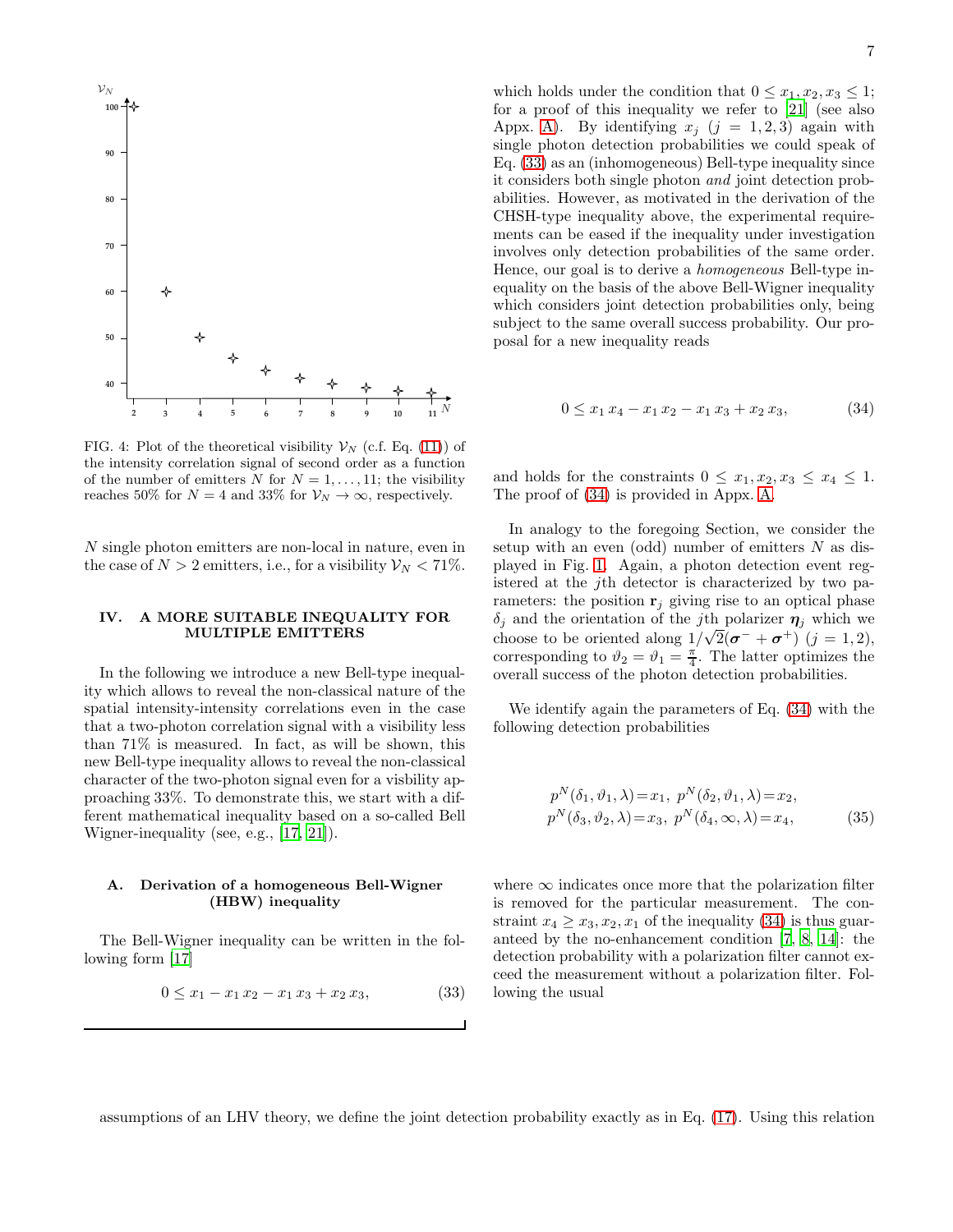

<span id="page-6-1"></span>FIG. 4: Plot of the theoretical visibility  $\mathcal{V}_N$  (c.f. Eq. [\(11\)](#page-3-1)) of the intensity correlation signal of second order as a function of the number of emitters N for  $N = 1, \ldots, 11$ ; the visibility reaches 50% for  $N = 4$  and 33% for  $\mathcal{V}_N \to \infty$ , respectively.

N single photon emitters are non-local in nature, even in the case of  $N > 2$  emitters, i.e., for a visibility  $\mathcal{V}_N < 71\%$ .

# <span id="page-6-0"></span>IV. A MORE SUITABLE INEQUALITY FOR MULTIPLE EMITTERS

In the following we introduce a new Bell-type inequality which allows to reveal the non-classical nature of the spatial intensity-intensity correlations even in the case that a two-photon correlation signal with a visibility less than 71% is measured. In fact, as will be shown, this new Bell-type inequality allows to reveal the non-classical character of the two-photon signal even for a visbility approaching 33%. To demonstrate this, we start with a different mathematical inequality based on a so-called Bell Wigner-inequality (see, e.g., [\[17,](#page-8-11) [21\]](#page-8-16)).

## A. Derivation of a homogeneous Bell-Wigner (HBW) inequality

The Bell-Wigner inequality can be written in the following form [\[17\]](#page-8-11)

<span id="page-6-2"></span>
$$
0 \le x_1 - x_1 x_2 - x_1 x_3 + x_2 x_3, \tag{33}
$$

which holds under the condition that  $0 \leq x_1, x_2, x_3 \leq 1$ ; for a proof of this inequality we refer to [\[21\]](#page-8-16) (see also Appx. [A\)](#page-8-17). By identifying  $x_j$   $(j = 1, 2, 3)$  again with single photon detection probabilities we could speak of Eq. [\(33\)](#page-6-2) as an (inhomogeneous) Bell-type inequality since it considers both single photon and joint detection probabilities. However, as motivated in the derivation of the CHSH-type inequality above, the experimental requirements can be eased if the inequality under investigation involves only detection probabilities of the same order. Hence, our goal is to derive a homogeneous Bell-type inequality on the basis of the above Bell-Wigner inequality which considers joint detection probabilities only, being subject to the same overall success probability. Our pro-

<span id="page-6-3"></span>
$$
0 \le x_1 \, x_4 - x_1 \, x_2 - x_1 \, x_3 + x_2 \, x_3,\tag{34}
$$

and holds for the constraints  $0 \leq x_1, x_2, x_3 \leq x_4 \leq 1$ . The proof of [\(34\)](#page-6-3) is provided in Appx. [A.](#page-8-17)

posal for a new inequality reads

In analogy to the foregoing Section, we consider the setup with an even (odd) number of emitters  $N$  as displayed in Fig. [1.](#page-1-1) Again, a photon detection event registered at the jth detector is characterized by two parameters: the position  $r_j$  giving rise to an optical phase  $\delta_i$  and the orientation of the j<sup>th</sup> polarizer  $\eta_i$  which we choose to be oriented along  $1/\sqrt{2}(\sigma^{-} + \sigma^{+})$   $(j = 1, 2)$ , corresponding to  $\vartheta_2 = \vartheta_1 = \frac{\pi}{4}$ . The latter optimizes the overall success of the photon detection probabilities.

We identify again the parameters of Eq. [\(34\)](#page-6-3) with the following detection probabilities

<span id="page-6-4"></span>
$$
p^{N}(\delta_{1}, \vartheta_{1}, \lambda) = x_{1}, p^{N}(\delta_{2}, \vartheta_{1}, \lambda) = x_{2},
$$
  
\n
$$
p^{N}(\delta_{3}, \vartheta_{2}, \lambda) = x_{3}, p^{N}(\delta_{4}, \infty, \lambda) = x_{4},
$$
\n(35)

where  $\infty$  indicates once more that the polarization filter is removed for the particular measurement. The constraint  $x_4 \ge x_3, x_2, x_1$  of the inequality [\(34\)](#page-6-3) is thus guaranteed by the no-enhancement condition [\[7,](#page-8-3) [8](#page-8-4), [14\]](#page-8-15): the detection probability with a polarization filter cannot exceed the measurement without a polarization filter. Following the usual

assumptions of an LHV theory, we define the joint detection probability exactly as in Eq. [\(17\)](#page-4-1). Using this relation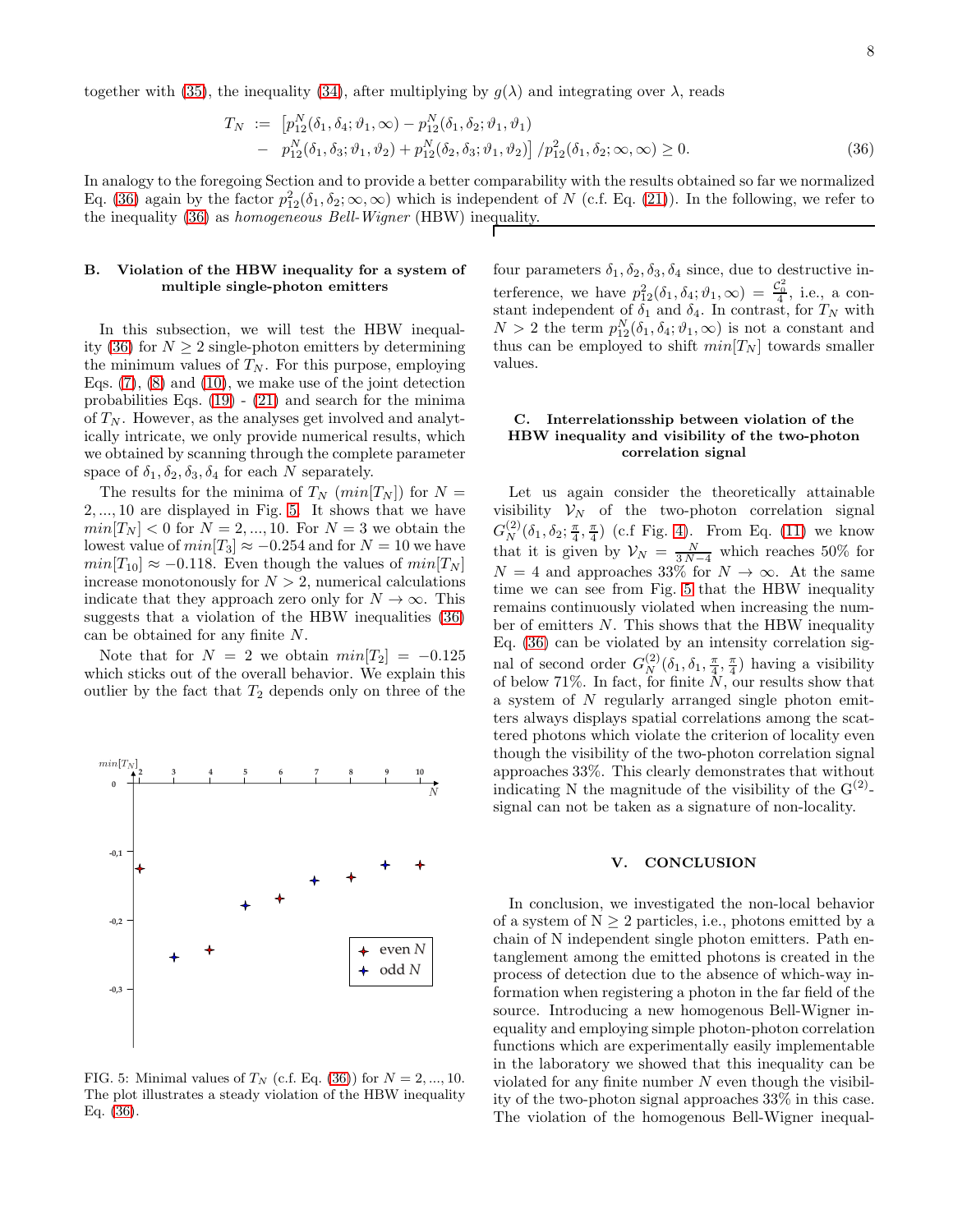together with [\(35\)](#page-6-4), the inequality [\(34\)](#page-6-3), after multiplying by  $g(\lambda)$  and integrating over  $\lambda$ , reads

<span id="page-7-1"></span>
$$
T_N := \left[ p_{12}^N(\delta_1, \delta_4; \vartheta_1, \infty) - p_{12}^N(\delta_1, \delta_2; \vartheta_1, \vartheta_1) - p_{12}^N(\delta_1, \delta_3; \vartheta_1, \vartheta_2) + p_{12}^N(\delta_2, \delta_3; \vartheta_1, \vartheta_2) \right] / p_{12}^2(\delta_1, \delta_2; \infty, \infty) \ge 0.
$$
\n(36)

In analogy to the foregoing Section and to provide a better comparability with the results obtained so far we normalized Eq. [\(36\)](#page-7-1) again by the factor  $p_{12}^2(\delta_1, \delta_2; \infty, \infty)$  which is independent of N (c.f. Eq. [\(21\)](#page-4-4)). In the following, we refer to the inequality [\(36\)](#page-7-1) as *homogeneous Bell-Wigner* (HBW) inequality.

### B. Violation of the HBW inequality for a system of multiple single-photon emitters

In this subsection, we will test the HBW inequal-ity [\(36\)](#page-7-1) for  $N \geq 2$  single-photon emitters by determining the minimum values of  $T_N$ . For this purpose, employing Eqs.  $(7)$ ,  $(8)$  and  $(10)$ , we make use of the joint detection probabilities Eqs.  $(19) - (21)$  $(19) - (21)$  and search for the minima of  $T_N$ . However, as the analyses get involved and analytically intricate, we only provide numerical results, which we obtained by scanning through the complete parameter space of  $\delta_1, \delta_2, \delta_3, \delta_4$  for each N separately.

The results for the minima of  $T_N$  ( $min[T_N]$ ) for  $N =$ 2, ..., 10 are displayed in Fig. [5.](#page-7-2) It shows that we have  $min[T_N] < 0$  for  $N = 2, ..., 10$ . For  $N = 3$  we obtain the lowest value of  $min[T_3] \approx -0.254$  and for  $N = 10$  we have  $min[T_{10}] \approx -0.118$ . Even though the values of  $min[T_N]$ increase monotonously for  $N > 2$ , numerical calculations indicate that they approach zero only for  $N \to \infty$ . This suggests that a violation of the HBW inequalities [\(36\)](#page-7-1) can be obtained for any finite N.

Note that for  $N = 2$  we obtain  $min[T_2] = -0.125$ which sticks out of the overall behavior. We explain this outlier by the fact that  $T_2$  depends only on three of the



<span id="page-7-2"></span>FIG. 5: Minimal values of  $T_N$  (c.f. Eq. [\(36\)](#page-7-1)) for  $N = 2, ..., 10$ . The plot illustrates a steady violation of the HBW inequality Eq. [\(36\)](#page-7-1).

four parameters  $\delta_1, \delta_2, \delta_3, \delta_4$  since, due to destructive interference, we have  $p_{12}^2(\delta_1, \delta_4; \vartheta_1, \infty) = \frac{\mathcal{C}_0^2}{4}$ , i.e., a constant independent of  $\delta_1$  and  $\delta_4$ . In contrast, for  $T_N$  with  $N > 2$  the term  $p_{12}^N(\delta_1, \delta_4; \vartheta_1, \infty)$  is not a constant and thus can be employed to shift  $min[T_N]$  towards smaller values.

# C. Interrelationsship between violation of the HBW inequality and visibility of the two-photon correlation signal

Let us again consider the theoretically attainable visibility  $V_N$  of the two-photon correlation signal  $G_N^{(2)}(\delta_1, \delta_2; \frac{\pi}{4}, \frac{\pi}{4})$  (c.f Fig. [4\)](#page-6-1). From Eq. [\(11\)](#page-3-1) we know that it is given by  $\mathcal{V}_N = \frac{N}{3N-4}$  which reaches 50% for  $N = 4$  and approaches 33% for  $N \to \infty$ . At the same time we can see from Fig. [5](#page-7-2) that the HBW inequality remains continuously violated when increasing the number of emitters  $N$ . This shows that the HBW inequality Eq. [\(36\)](#page-7-1) can be violated by an intensity correlation signal of second order  $G_N^{(2)}(\delta_1, \delta_1, \frac{\pi}{4}, \frac{\pi}{4})$  having a visibility of below 71%. In fact, for finite  $N$ , our results show that a system of N regularly arranged single photon emitters always displays spatial correlations among the scattered photons which violate the criterion of locality even though the visibility of the two-photon correlation signal approaches 33%. This clearly demonstrates that without indicating N the magnitude of the visibility of the  $G^{(2)}$ signal can not be taken as a signature of non-locality.

#### <span id="page-7-0"></span>V. CONCLUSION

In conclusion, we investigated the non-local behavior of a system of  $N \geq 2$  particles, i.e., photons emitted by a chain of N independent single photon emitters. Path entanglement among the emitted photons is created in the process of detection due to the absence of which-way information when registering a photon in the far field of the source. Introducing a new homogenous Bell-Wigner inequality and employing simple photon-photon correlation functions which are experimentally easily implementable in the laboratory we showed that this inequality can be violated for any finite number  $N$  even though the visibility of the two-photon signal approaches 33% in this case. The violation of the homogenous Bell-Wigner inequal